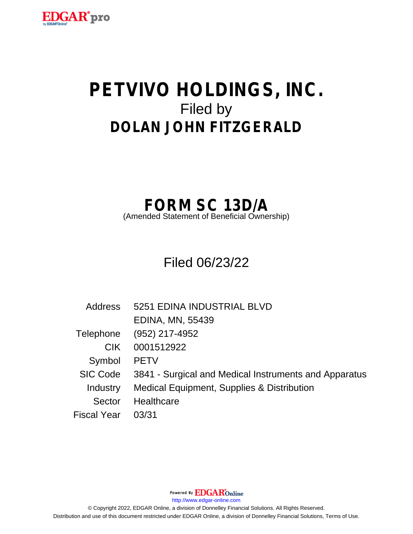

# **PETVIVO HOLDINGS, INC.** Filed by **DOLAN JOHN FITZGERALD**

# **FORM SC 13D/A**

(Amended Statement of Beneficial Ownership)

Filed 06/23/22

| <b>Address</b> | 5251 EDINA INDUSTRIAL BLVD                            |
|----------------|-------------------------------------------------------|
|                | <b>EDINA, MN, 55439</b>                               |
| Telephone      | (952) 217-4952                                        |
| <b>CIK</b>     | 0001512922                                            |
| Symbol         | <b>PETV</b>                                           |
| SIC Code       | 3841 - Surgical and Medical Instruments and Apparatus |
| Industry       | Medical Equipment, Supplies & Distribution            |
| Sector         | Healthcare                                            |
| Fiscal Year    | 03/31                                                 |

Powered By **EDGAR**Online

http://www.edgar-online.com

© Copyright 2022, EDGAR Online, a division of Donnelley Financial Solutions. All Rights Reserved. Distribution and use of this document restricted under EDGAR Online, a division of Donnelley Financial Solutions, Terms of Use.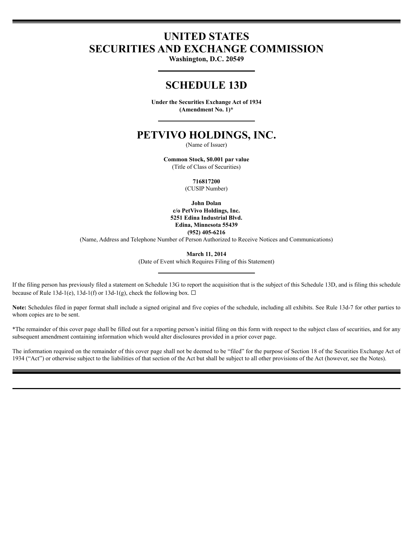# **UNITED STATES SECURITIES AND EXCHANGE COMMISSION**

Washington, D.C. 20549

# **SCHEDULE 13D**

Under the Securities Exchange Act of 1934 (Amendment No. 1)\*

# PETVIVO HOLDINGS, INC.

(Name of Issuer)

Common Stock, \$0.001 par value (Title of Class of Securities)

716817200

(CUSIP Number)

**John Dolan** c/o PetVivo Holdings, Inc. 5251 Edina Industrial Blvd. Edina, Minnesota 55439  $(952)$  405-6216

(Name, Address and Telephone Number of Person Authorized to Receive Notices and Communications)

**March 11, 2014** 

(Date of Event which Requires Filing of this Statement)

If the filing person has previously filed a statement on Schedule 13G to report the acquisition that is the subject of this Schedule 13D, and is filing this schedule because of Rule 13d-1(e), 13d-1(f) or 13d-1(g), check the following box.  $\Box$ 

Note: Schedules filed in paper format shall include a signed original and five copies of the schedule, including all exhibits. See Rule 13d-7 for other parties to whom copies are to be sent.

\*The remainder of this cover page shall be filled out for a reporting person's initial filing on this form with respect to the subject class of securities, and for any subsequent amendment containing information which would alter disclosures provided in a prior cover page.

The information required on the remainder of this cover page shall not be deemed to be "filed" for the purpose of Section 18 of the Securities Exchange Act of 1934 ("Act") or otherwise subject to the liabilities of that section of the Act but shall be subject to all other provisions of the Act (however, see the Notes).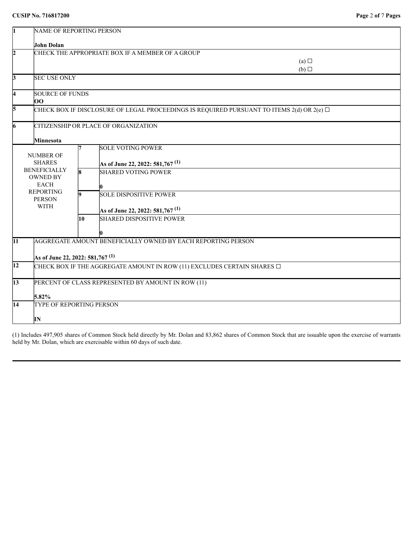| 1               |                                                                                 | NAME OF REPORTING PERSON                         |                                                                                           |  |  |  |
|-----------------|---------------------------------------------------------------------------------|--------------------------------------------------|-------------------------------------------------------------------------------------------|--|--|--|
|                 | John Dolan                                                                      |                                                  |                                                                                           |  |  |  |
| $\overline{2}$  |                                                                                 | CHECK THE APPROPRIATE BOX IF A MEMBER OF A GROUP |                                                                                           |  |  |  |
|                 |                                                                                 |                                                  | (a)                                                                                       |  |  |  |
|                 |                                                                                 |                                                  | $(b)$ $\square$                                                                           |  |  |  |
| 13              | <b>SEC USE ONLY</b>                                                             |                                                  |                                                                                           |  |  |  |
| l4              |                                                                                 | <b>SOURCE OF FUNDS</b>                           |                                                                                           |  |  |  |
|                 | 00                                                                              |                                                  |                                                                                           |  |  |  |
| 5               |                                                                                 |                                                  | CHECK BOX IF DISCLOSURE OF LEGAL PROCEEDINGS IS REQUIRED PURSUANT TO ITEMS 2(d) OR 2(e) □ |  |  |  |
| 16              |                                                                                 |                                                  | CITIZENSHIP OR PLACE OF ORGANIZATION                                                      |  |  |  |
|                 | Minnesota                                                                       |                                                  |                                                                                           |  |  |  |
|                 |                                                                                 |                                                  | <b>SOLE VOTING POWER</b>                                                                  |  |  |  |
|                 | <b>NUMBER OF</b>                                                                |                                                  |                                                                                           |  |  |  |
|                 | <b>SHARES</b>                                                                   |                                                  | As of June 22, 2022: 581,767 $(1)$                                                        |  |  |  |
|                 | <b>BENEFICIALLY</b><br><b>OWNED BY</b>                                          | k.                                               | <b>SHARED VOTING POWER</b>                                                                |  |  |  |
|                 | <b>EACH</b>                                                                     |                                                  |                                                                                           |  |  |  |
|                 | <b>REPORTING</b>                                                                | lQ.                                              | <b>SOLE DISPOSITIVE POWER</b>                                                             |  |  |  |
|                 | <b>PERSON</b>                                                                   |                                                  |                                                                                           |  |  |  |
|                 | <b>WITH</b>                                                                     |                                                  | As of June 22, 2022: 581,767 $(1)$                                                        |  |  |  |
|                 |                                                                                 | 10                                               | <b>SHARED DISPOSITIVE POWER</b>                                                           |  |  |  |
|                 |                                                                                 |                                                  |                                                                                           |  |  |  |
| $\overline{11}$ |                                                                                 |                                                  | AGGREGATE AMOUNT BENEFICIALLY OWNED BY EACH REPORTING PERSON                              |  |  |  |
|                 | As of June 22, 2022: 581,767 $^{\rm (1)}$                                       |                                                  |                                                                                           |  |  |  |
| $\overline{12}$ | CHECK BOX IF THE AGGREGATE AMOUNT IN ROW (11) EXCLUDES CERTAIN SHARES $\square$ |                                                  |                                                                                           |  |  |  |
|                 |                                                                                 |                                                  |                                                                                           |  |  |  |
| 13              |                                                                                 |                                                  | PERCENT OF CLASS REPRESENTED BY AMOUNT IN ROW (11)                                        |  |  |  |
|                 | 5.82%                                                                           |                                                  |                                                                                           |  |  |  |
| 14              | TYPE OF REPORTING PERSON                                                        |                                                  |                                                                                           |  |  |  |
|                 | IN                                                                              |                                                  |                                                                                           |  |  |  |

(1) Includes 497,905 shares of Common Stock held directly by Mr. Dolan and 83,862 shares of Common Stock that are issuable upon the exercise of warrants held by Mr. Dolan, which are exercisable within 60 days of such date.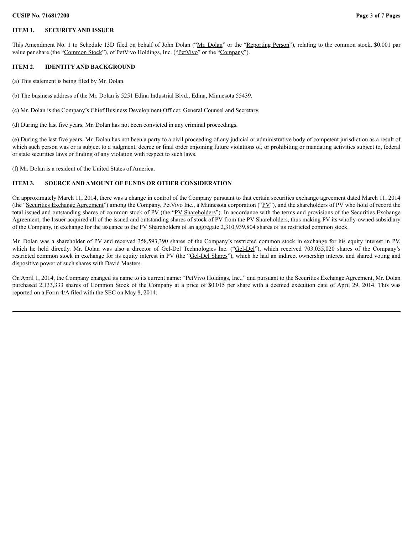#### **CUSIP No. 716817200 Page** 3 **of** 7 **Pages**

#### **ITEM 1. SECURITY AND ISSUER**

This Amendment No. 1 to Schedule 13D filed on behalf of John Dolan ("Mr. Dolan" or the "Reporting Person"), relating to the common stock, \$0.001 par value per share (the "Common Stock"), of PetVivo Holdings, Inc. ("PetVivo" or the "Company").

## **ITEM 2. IDENTITY AND BACKGROUND**

(a) This statement is being filed by Mr. Dolan.

(b) The business address of the Mr. Dolan is 5251 Edina Industrial Blvd., Edina, Minnesota 55439.

(c) Mr. Dolan is the Company's Chief Business Development Officer, General Counsel and Secretary.

(d) During the last five years, Mr. Dolan has not been convicted in any criminal proceedings.

(e) During the last five years, Mr. Dolan has not been a party to a civil proceeding of any judicial or administrative body of competent jurisdiction as a result of which such person was or is subject to a judgment, decree or final order enjoining future violations of, or prohibiting or mandating activities subject to, federal or state securities laws or finding of any violation with respect to such laws.

(f) Mr. Dolan is a resident of the United States of America.

#### **ITEM 3. SOURCE AND AMOUNT OF FUNDS OR OTHER CONSIDERATION**

On approximately March 11, 2014, there was a change in control of the Company pursuant to that certain securities exchange agreement dated March 11, 2014 (the "Securities Exchange Agreement") among the Company, PetVivo Inc., a Minnesota corporation ("PV"), and the shareholders of PV who hold of record the total issued and outstanding shares of common stock of PV (the "PV Shareholders"). In accordance with the terms and provisions of the Securities Exchange Agreement, the Issuer acquired all of the issued and outstanding shares of stock of PV from the PV Shareholders, thus making PV its wholly-owned subsidiary of the Company, in exchange for the issuance to the PV Shareholders of an aggregate 2,310,939,804 shares of its restricted common stock.

Mr. Dolan was a shareholder of PV and received 358,593,390 shares of the Company's restricted common stock in exchange for his equity interest in PV, which he held directly. Mr. Dolan was also a director of Gel-Del Technologies Inc. ("Gel-Del"), which received 703,055,020 shares of the Company's restricted common stock in exchange for its equity interest in PV (the "Gel-Del Shares"), which he had an indirect ownership interest and shared voting and dispositive power of such shares with David Masters.

On April 1, 2014, the Company changed its name to its current name: "PetVivo Holdings, Inc.," and pursuant to the Securities Exchange Agreement, Mr. Dolan purchased 2,133,333 shares of Common Stock of the Company at a price of \$0.015 per share with a deemed execution date of April 29, 2014. This was reported on a Form 4/A filed with the SEC on May 8, 2014.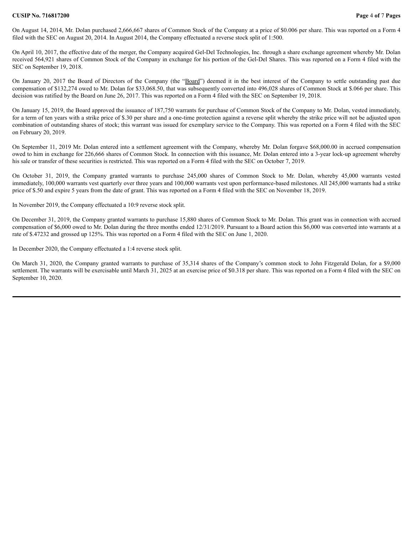#### **CUSIP No. 716817200 Page** 4 **of** 7 **Pages**

On August 14, 2014, Mr. Dolan purchased 2,666,667 shares of Common Stock of the Company at a price of \$0.006 per share. This was reported on a Form 4 filed with the SEC on August 20, 2014. In August 2014, the Company effectuated a reverse stock split of 1:500.

On April 10, 2017, the effective date of the merger, the Company acquired Gel-Del Technologies, Inc. through a share exchange agreement whereby Mr. Dolan received 564,921 shares of Common Stock of the Company in exchange for his portion of the Gel-Del Shares. This was reported on a Form 4 filed with the SEC on September 19, 2018.

On January 20, 2017 the Board of Directors of the Company (the "Board") deemed it in the best interest of the Company to settle outstanding past due compensation of \$132,274 owed to Mr. Dolan for \$33,068.50, that was subsequently converted into 496,028 shares of Common Stock at \$.066 per share. This decision was ratified by the Board on June 26, 2017. This was reported on a Form 4 filed with the SEC on September 19, 2018.

On January 15, 2019, the Board approved the issuance of 187,750 warrants for purchase of Common Stock of the Company to Mr. Dolan, vested immediately, for a term of ten years with a strike price of \$.30 per share and a one-time protection against a reverse split whereby the strike price will not be adjusted upon combination of outstanding shares of stock; this warrant was issued for exemplary service to the Company. This was reported on a Form 4 filed with the SEC on February 20, 2019.

On September 11, 2019 Mr. Dolan entered into a settlement agreement with the Company, whereby Mr. Dolan forgave \$68,000.00 in accrued compensation owed to him in exchange for 226,666 shares of Common Stock. In connection with this issuance, Mr. Dolan entered into a 3-year lock-up agreement whereby his sale or transfer of these securities is restricted. This was reported on a Form 4 filed with the SEC on October 7, 2019.

On October 31, 2019, the Company granted warrants to purchase 245,000 shares of Common Stock to Mr. Dolan, whereby 45,000 warrants vested immediately, 100,000 warrants vest quarterly over three years and 100,000 warrants vest upon performance-based milestones. All 245,000 warrants had a strike price of \$.50 and expire 5 years from the date of grant. This was reported on a Form 4 filed with the SEC on November 18, 2019.

In November 2019, the Company effectuated a 10:9 reverse stock split.

On December 31, 2019, the Company granted warrants to purchase 15,880 shares of Common Stock to Mr. Dolan. This grant was in connection with accrued compensation of \$6,000 owed to Mr. Dolan during the three months ended 12/31/2019. Pursuant to a Board action this \$6,000 was converted into warrants at a rate of \$.47232 and grossed up 125%. This was reported on a Form 4 filed with the SEC on June 1, 2020.

In December 2020, the Company effectuated a 1:4 reverse stock split.

On March 31, 2020, the Company granted warrants to purchase of 35,314 shares of the Company's common stock to John Fitzgerald Dolan, for a \$9,000 settlement. The warrants will be exercisable until March 31, 2025 at an exercise price of \$0.318 per share. This was reported on a Form 4 filed with the SEC on September 10, 2020.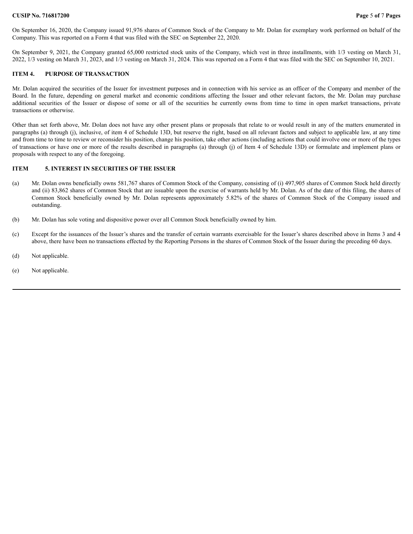#### **CUSIP No. 716817200 Page** 5 **of** 7 **Pages**

On September 16, 2020, the Company issued 91,976 shares of Common Stock of the Company to Mr. Dolan for exemplary work performed on behalf of the Company. This was reported on a Form 4 that was filed with the SEC on September 22, 2020.

On September 9, 2021, the Company granted 65,000 restricted stock units of the Company, which vest in three installments, with 1/3 vesting on March 31, 2022, 1/3 vesting on March 31, 2023, and 1/3 vesting on March 31, 2024. This was reported on a Form 4 that was filed with the SEC on September 10, 2021.

### **ITEM 4. PURPOSE OF TRANSACTION**

Mr. Dolan acquired the securities of the Issuer for investment purposes and in connection with his service as an officer of the Company and member of the Board. In the future, depending on general market and economic conditions affecting the Issuer and other relevant factors, the Mr. Dolan may purchase additional securities of the Issuer or dispose of some or all of the securities he currently owns from time to time in open market transactions, private transactions or otherwise.

Other than set forth above, Mr. Dolan does not have any other present plans or proposals that relate to or would result in any of the matters enumerated in paragraphs (a) through (j), inclusive, of item 4 of Schedule 13D, but reserve the right, based on all relevant factors and subject to applicable law, at any time and from time to time to review or reconsider his position, change his position, take other actions (including actions that could involve one or more of the types of transactions or have one or more of the results described in paragraphs (a) through (j) of Item 4 of Schedule 13D) or formulate and implement plans or proposals with respect to any of the foregoing.

#### **ITEM 5. INTEREST IN SECURITIES OF THE ISSUER**

- (a) Mr. Dolan owns beneficially owns 581,767 shares of Common Stock of the Company, consisting of (i) 497,905 shares of Common Stock held directly and (ii) 83,862 shares of Common Stock that are issuable upon the exercise of warrants held by Mr. Dolan. As of the date of this filing, the shares of Common Stock beneficially owned by Mr. Dolan represents approximately 5.82% of the shares of Common Stock of the Company issued and outstanding.
- (b) Mr. Dolan has sole voting and dispositive power over all Common Stock beneficially owned by him.
- (c) Except for the issuances of the Issuer's shares and the transfer of certain warrants exercisable for the Issuer's shares described above in Items 3 and 4 above, there have been no transactions effected by the Reporting Persons in the shares of Common Stock of the Issuer during the preceding 60 days.
- (d) Not applicable.
- (e) Not applicable.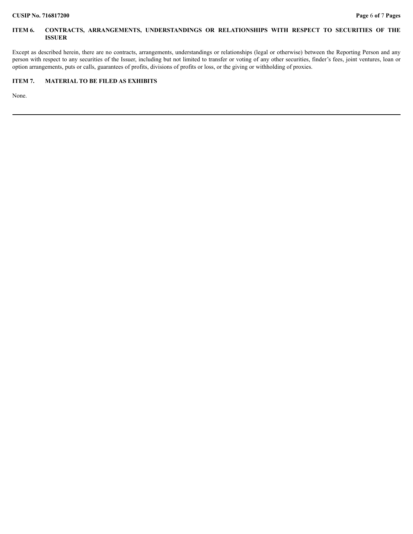## **ITEM 6. CONTRACTS, ARRANGEMENTS, UNDERSTANDINGS OR RELATIONSHIPS WITH RESPECT TO SECURITIES OF THE ISSUER**

Except as described herein, there are no contracts, arrangements, understandings or relationships (legal or otherwise) between the Reporting Person and any person with respect to any securities of the Issuer, including but not limited to transfer or voting of any other securities, finder's fees, joint ventures, loan or option arrangements, puts or calls, guarantees of profits, divisions of profits or loss, or the giving or withholding of proxies.

# **ITEM 7. MATERIAL TO BE FILED AS EXHIBITS**

None.